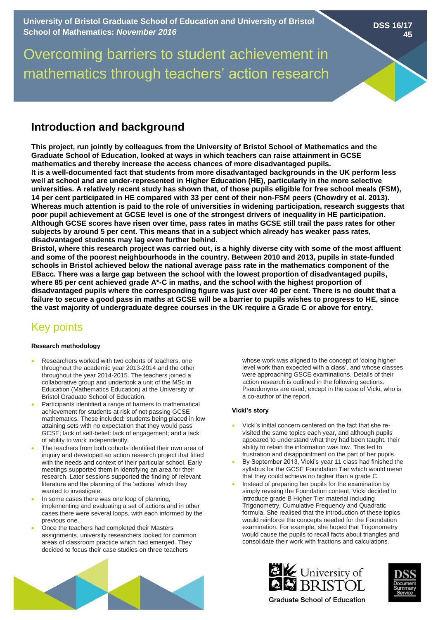Overcoming barriers to student achievement in mathematics through teachers' action research

# **Introduction and background**

**This project, run jointly by colleagues from the University of Bristol School of Mathematics and the Graduate School of Education, looked at ways in which teachers can raise attainment in GCSE mathematics and thereby increase the access chances of more disadvantaged pupils. It is a well-documented fact that students from more disadvantaged backgrounds in the UK perform less well at school and are under-represented in Higher Education (HE), particularly in the more selective universities. A relatively recent study has shown that, of those pupils eligible for free school meals (FSM), 14 per cent participated in HE compared with 33 per cent of their non-FSM peers (Chowdry et al. 2013). Whereas much attention is paid to the role of universities in widening participation, research suggests that poor pupil achievement at GCSE level is one of the strongest drivers of inequality in HE participation. Although GCSE scores have risen over time, pass rates in maths GCSE still trail the pass rates for other subjects by around 5 per cent. This means that in a subject which already has weaker pass rates, disadvantaged students may lag even further behind.** 

**Bristol, where this research project was carried out, is a highly diverse city with some of the most affluent and some of the poorest neighbourhoods in the country. Between 2010 and 2013, pupils in state-funded schools in Bristol achieved below the national average pass rate in the mathematics component of the EBacc. There was a large gap between the school with the lowest proportion of disadvantaged pupils, where 85 per cent achieved grade A\*-C in maths, and the school with the highest proportion of disadvantaged pupils where the corresponding figure was just over 40 per cent. There is no doubt that a failure to secure a good pass in maths at GCSE will be a barrier to pupils wishes to progress to HE, since the vast majority of undergraduate degree courses in the UK require a Grade C or above for entry.** 

# Key points

# **Research methodology**

- Researchers worked with two cohorts of teachers, one throughout the academic year 2013-2014 and the other throughout the year 2014-2015. The teachers joined a collaborative group and undertook a unit of the MSc in Education (Mathematics Education) at the University of Bristol Graduate School of Education.
- Participants identified a range of barriers to mathematical achievement for students at risk of not passing GCSE mathematics. These included: students being placed in low attaining sets with no expectation that they would pass GCSE; lack of self-belief: lack of engagement; and a lack of ability to work independently.
- The teachers from both cohorts identified their own area of inquiry and developed an action research project that fitted with the needs and context of their particular school. Early meetings supported them in identifying an area for their research. Later sessions supported the finding of relevant literature and the planning of the 'actions' which they wanted to investigate.
- In some cases there was one loop of planning, implementing and evaluating a set of actions and in other cases there were several loops, with each informed by the previous one.
- Once the teachers had completed their Masters assignments, university researchers looked for common areas of classroom practice which had emerged. They decided to focus their case studies on three teachers

whose work was aligned to the concept of 'doing higher level work than expected with a class', and whose classes were approaching GSCE examinations. Details of their action research is outlined in the following sections. Pseudonyms are used, except in the case of Vicki, who is a co-author of the report.

# **Vicki's story**

- Vicki's initial concern centered on the fact that she revisited the same topics each year, and although pupils appeared to understand what they had been taught, their ability to retain the information was low. This led to frustration and disappointment on the part of her pupils.
- By September 2013, Vicki's year 11 class had finished the syllabus for the GCSE Foundation Tier which would mean that they could achieve no higher than a grade C.
- Instead of preparing her pupils for the examination by simply revising the Foundation content, Vicki decided to introduce grade B Higher Tier material including Trigonometry, Cumulative Frequency and Quadratic formula. She realised that the introduction of these topics would reinforce the concepts needed for the Foundation examination. For example, she hoped that Trigonometry would cause the pupils to recall facts about triangles and consolidate their work with fractions and calculations.





**DSS 16/17**

**45**

**Graduate School of Education**